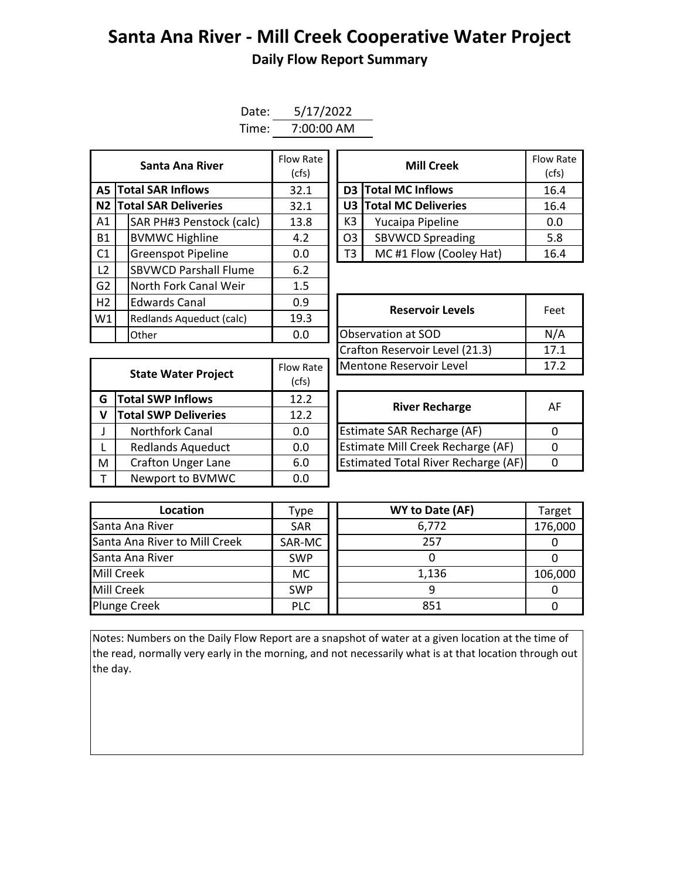## **Santa Ana River - Mill Creek Cooperative Water Project Daily Flow Report Summary**

| Date: | 5/17/2022  |
|-------|------------|
| Time: | 7:00:00 AM |

| Santa Ana River |  |                                  | Flow Rate<br>(cfs) | <b>Mill Creek</b> |                              |                            | Flow Ra<br>(cfs) |
|-----------------|--|----------------------------------|--------------------|-------------------|------------------------------|----------------------------|------------------|
|                 |  | <b>A5 Total SAR Inflows</b>      | 32.1               |                   |                              | <b>D3</b> Total MC Inflows | 16.4             |
|                 |  | N2 Total SAR Deliveries          | 32.1               |                   |                              | U3 Total MC Deliveries     | 16.4             |
| A1              |  | SAR PH#3 Penstock (calc)         | 13.8               |                   | K3                           | Yucaipa Pipeline           | 0.0              |
| <b>B1</b>       |  | <b>BVMWC Highline</b>            | 4.2                |                   | O <sub>3</sub>               | <b>SBVWCD Spreading</b>    | 5.8              |
| C <sub>1</sub>  |  | <b>Greenspot Pipeline</b>        | 0.0                |                   | MC#1 Flow (Cooley Hat)<br>T3 |                            | 16.4             |
| L <sub>2</sub>  |  | <b>SBVWCD Parshall Flume</b>     | 6.2                |                   |                              |                            |                  |
| G <sub>2</sub>  |  | North Fork Canal Weir            | 1.5                |                   |                              |                            |                  |
| H2              |  | <b>Edwards Canal</b>             | 0.9                |                   |                              | <b>Reservoir Levels</b>    | Feet             |
| W1              |  | 19.3<br>Redlands Aqueduct (calc) |                    |                   |                              |                            |                  |
|                 |  | Other                            | 0.0                |                   |                              | Observation at SOD         | N/A              |

| Santa Ana River         | Flow Rate<br>(cfs) |                                           | Flow Rate<br>(cfs)  |      |  |  |
|-------------------------|--------------------|-------------------------------------------|---------------------|------|--|--|
| <b>I SAR Inflows</b>    | 32.1               |                                           | D3 Total MC Inflows |      |  |  |
| <b>I SAR Deliveries</b> | 32.1               | U3 Total MC Deliveries                    |                     | 16.4 |  |  |
| AR PH#3 Penstock (calc) | 13.8               | K <sub>3</sub><br>Yucaipa Pipeline        |                     | 0.0  |  |  |
| /MWC Highline           | 4.2                | <b>SBVWCD Spreading</b><br>O <sub>3</sub> |                     | 5.8  |  |  |
| reenspot Pipeline       | 0.0                | MC#1 Flow (Cooley Hat)                    |                     | 16.4 |  |  |

|              | lOther                      | U.U       | lubservation at SUD                        |              |  |  |  |
|--------------|-----------------------------|-----------|--------------------------------------------|--------------|--|--|--|
|              |                             |           | Crafton Reservoir Level (21.3)             | 17           |  |  |  |
|              | <b>State Water Project</b>  | Flow Rate | Mentone Reservoir Level                    | 17           |  |  |  |
|              |                             | (cfs)     |                                            |              |  |  |  |
| G            | <b>Total SWP Inflows</b>    | 12.2      | <b>River Recharge</b>                      | $\mathsf{A}$ |  |  |  |
| $\mathsf{V}$ | <b>Total SWP Deliveries</b> | 12.2      |                                            |              |  |  |  |
| $\mathsf{J}$ | Northfork Canal             | 0.0       | <b>Estimate SAR Recharge (AF)</b>          | $\Omega$     |  |  |  |
| $\mathsf{L}$ | <b>Redlands Aqueduct</b>    | 0.0       | Estimate Mill Creek Recharge (AF)          | $\Omega$     |  |  |  |
| M            | <b>Crafton Unger Lane</b>   | 6.0       | <b>Estimated Total River Recharge (AF)</b> | 0            |  |  |  |
| $\mathsf{T}$ | Newport to BVMWC            | 0.0       |                                            |              |  |  |  |

| Edwards Canal<br>0.9                   |           | <b>Reservoir Levels</b>        | Feet |  |
|----------------------------------------|-----------|--------------------------------|------|--|
| 19.3<br>Redlands Aqueduct (calc)       |           |                                |      |  |
| 0.0<br>Other                           |           | <b>Observation at SOD</b>      | N/A  |  |
|                                        |           | Crafton Reservoir Level (21.3) | 17.1 |  |
|                                        | Flow Rate | Mentone Reservoir Level        | 17.2 |  |
| <b>State Water Project</b><br>$\cdots$ |           |                                |      |  |

| <b>River Recharge</b>                      | AF |
|--------------------------------------------|----|
| <b>Estimate SAR Recharge (AF)</b>          |    |
| Estimate Mill Creek Recharge (AF)          |    |
| <b>Estimated Total River Recharge (AF)</b> |    |

| Location                      | Type       | WY to Date (AF) | Target  |
|-------------------------------|------------|-----------------|---------|
| Santa Ana River               | <b>SAR</b> | 6,772           | 176,000 |
| Santa Ana River to Mill Creek | SAR-MC     | 257             |         |
| Santa Ana River               | <b>SWP</b> |                 |         |
| Mill Creek                    | МC         | 1,136           | 106,000 |
| Mill Creek                    | <b>SWP</b> |                 |         |
| <b>Plunge Creek</b>           | <b>PLC</b> | 851             |         |

Notes: Numbers on the Daily Flow Report are a snapshot of water at a given location at the time of the read, normally very early in the morning, and not necessarily what is at that location through out the day.